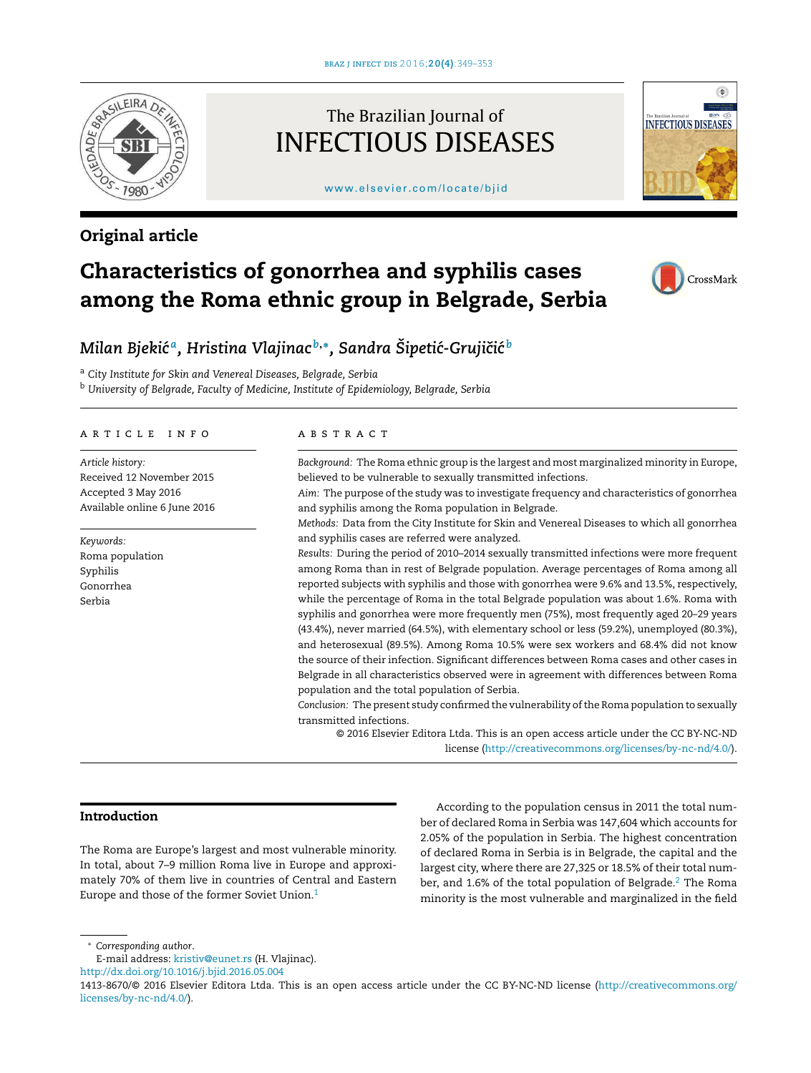

# Original article

# The Brazilian Journal of INFECTIOUS DISEASES

### [www.elsevier.com/locate/bjid](http://www.elsevier.com/locate/bjid)



# Characteristics of gonorrhea and syphilis cases among the Roma ethnic group in Belgrade, Serbia



# *Milan Bjekic´ a , Hristina Vlajinac <sup>b</sup>*,<sup>∗</sup> *, Sandra Sipeti ˇ c-Gruji ´ ciˇ c´ b*

<sup>a</sup> *City Institute for Skin and Venereal Diseases, Belgrade, Serbia*

<sup>b</sup> *University of Belgrade, Faculty of Medicine, Institute of Epidemiology, Belgrade, Serbia*

#### a r t i c l e i n f o

*Article history:* Received 12 November 2015 Accepted 3 May 2016 Available online 6 June 2016

*Keywords:* Roma population Syphilis Gonorrhea Serbia

#### A B S T R A C T

*Background:* The Roma ethnic group is the largest and most marginalized minority in Europe, believed to be vulnerable to sexually transmitted infections.

*Aim:* The purpose of the study was to investigate frequency and characteristics of gonorrhea and syphilis among the Roma population in Belgrade.

*Methods:* Data from the City Institute for Skin and Venereal Diseases to which all gonorrhea and syphilis cases are referred were analyzed.

*Results:* During the period of 2010–2014 sexually transmitted infections were more frequent among Roma than in rest of Belgrade population. Average percentages of Roma among all reported subjects with syphilis and those with gonorrhea were 9.6% and 13.5%, respectively, while the percentage of Roma in the total Belgrade population was about 1.6%. Roma with syphilis and gonorrhea were more frequently men (75%), most frequently aged 20–29 years (43.4%), never married (64.5%), with elementary school or less (59.2%), unemployed (80.3%), and heterosexual (89.5%). Among Roma 10.5% were sex workers and 68.4% did not know the source of their infection. Significant differences between Roma cases and other cases in Belgrade in all characteristics observed were in agreement with differences between Roma population and the total population of Serbia.

*Conclusion:* The present study confirmed the vulnerability ofthe Roma population to sexually transmitted infections.

© 2016 Elsevier Editora Ltda. This is an open access article under the CC BY-NC-ND license ([http://creativecommons.org/licenses/by-nc-nd/4.0/\)](http://creativecommons.org/licenses/by-nc-nd/4.0/).

## Introduction

The Roma are Europe's largest and most vulnerable minority. In total, about 7–9 million Roma live in Europe and approximately 70% of them live in countries of Central and Eastern Europe and those of the former Soviet Union.<sup>[1](#page-4-0)</sup>

According to the population census in 2011 the total number of declared Roma in Serbia was 147,604 which accounts for 2.05% of the population in Serbia. The highest concentration of declared Roma in Serbia is in Belgrade, the capital and the largest city, where there are 27,325 or 18.5% of their total number, and 1.6% of the total population of Belgrade. $2$  The Roma minority is the most vulnerable and marginalized in the field

<sup>∗</sup> *Corresponding author*.

E-mail address: [kristiv@eunet.rs](mailto:kristiv@eunet.rs) (H. Vlajinac).

[http://dx.doi.org/10.1016/j.bjid.2016.05.004](dx.doi.org/10.1016/j.bjid.2016.05.004)

<sup>1413-8670/©</sup> 2016 Elsevier Editora Ltda. This is an open access article under the CC BY-NC-ND license [\(http://creativecommons.org/](http://creativecommons.org/licenses/by-nc-nd/4.0/) [licenses/by-nc-nd/4.0/](http://creativecommons.org/licenses/by-nc-nd/4.0/)).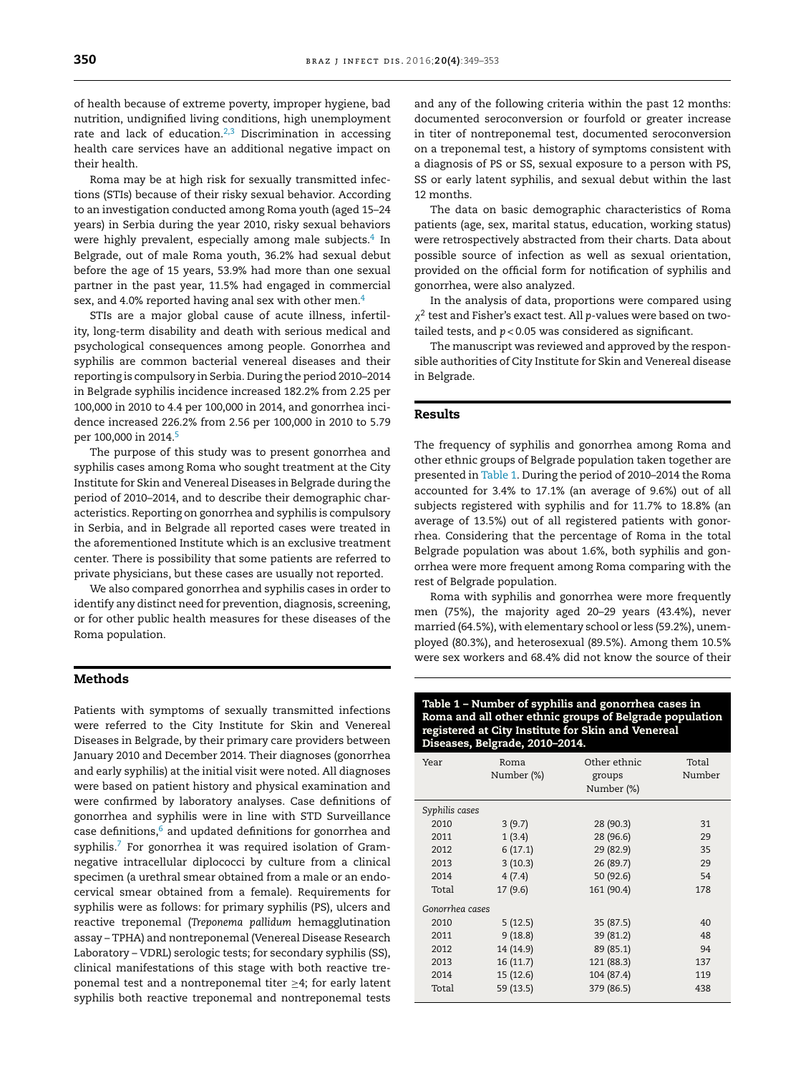of health because of extreme poverty, improper hygiene, bad nutrition, undignified living conditions, high unemployment rate and lack of education.<sup>[2,3](#page-4-0)</sup> Discrimination in accessing health care services have an additional negative impact on their health.

Roma may be at high risk for sexually transmitted infections (STIs) because of their risky sexual behavior. According to an investigation conducted among Roma youth (aged 15–24 years) in Serbia during the year 2010, risky sexual behaviors were highly prevalent, especially among male subjects. $^4$  $^4$  In Belgrade, out of male Roma youth, 36.2% had sexual debut before the age of 15 years, 53.9% had more than one sexual partner in the past year, 11.5% had engaged in commercial sex, and [4](#page-4-0).0% reported having anal sex with other men.<sup>4</sup>

STIs are a major global cause of acute illness, infertility, long-term disability and death with serious medical and psychological consequences among people. Gonorrhea and syphilis are common bacterial venereal diseases and their reporting is compulsory in Serbia. During the period 2010–2014 in Belgrade syphilis incidence increased 182.2% from 2.25 per 100,000 in 2010 to 4.4 per 100,000 in 2014, and gonorrhea incidence increased 226.2% from 2.56 per 100,000 in 2010 to 5.79 per 100,000 in 2014.<sup>[5](#page-4-0)</sup>

The purpose of this study was to present gonorrhea and syphilis cases among Roma who sought treatment at the City Institute for Skin and Venereal Diseases in Belgrade during the period of 2010–2014, and to describe their demographic characteristics. Reporting on gonorrhea and syphilis is compulsory in Serbia, and in Belgrade all reported cases were treated in the aforementioned Institute which is an exclusive treatment center. There is possibility that some patients are referred to private physicians, but these cases are usually not reported.

We also compared gonorrhea and syphilis cases in order to identify any distinct need for prevention, diagnosis, screening, or for other public health measures for these diseases of the Roma population.

### Methods

Patients with symptoms of sexually transmitted infections were referred to the City Institute for Skin and Venereal Diseases in Belgrade, by their primary care providers between January 2010 and December 2014. Their diagnoses (gonorrhea and early syphilis) at the initial visit were noted. All diagnoses were based on patient history and physical examination and were confirmed by laboratory analyses. Case definitions of gonorrhea and syphilis were in line with STD Surveillance case definitions, $6$  and updated definitions for gonorrhea and syphilis.<sup>[7](#page-4-0)</sup> For gonorrhea it was required isolation of Gramnegative intracellular diplococci by culture from a clinical specimen (a urethral smear obtained from a male or an endocervical smear obtained from a female). Requirements for syphilis were as follows: for primary syphilis (PS), ulcers and reactive treponemal (*Treponema pallidum* hemagglutination assay – TPHA) and nontreponemal (Venereal Disease Research Laboratory – VDRL) serologic tests; for secondary syphilis (SS), clinical manifestations of this stage with both reactive treponemal test and a nontreponemal titer  $\geq 4$ ; for early latent syphilis both reactive treponemal and nontreponemal tests

and any of the following criteria within the past 12 months: documented seroconversion or fourfold or greater increase in titer of nontreponemal test, documented seroconversion on a treponemal test, a history of symptoms consistent with a diagnosis of PS or SS, sexual exposure to a person with PS, SS or early latent syphilis, and sexual debut within the last 12 months.

The data on basic demographic characteristics of Roma patients (age, sex, marital status, education, working status) were retrospectively abstracted from their charts. Data about possible source of infection as well as sexual orientation, provided on the official form for notification of syphilis and gonorrhea, were also analyzed.

In the analysis of data, proportions were compared using  $\chi^2$  test and Fisher's exact test. All p-values were based on twotailed tests, and *p* < 0.05 was considered as significant.

The manuscript was reviewed and approved by the responsible authorities of City Institute for Skin and Venereal disease in Belgrade.

## Results

The frequency of syphilis and gonorrhea among Roma and other ethnic groups of Belgrade population taken together are presented in Table 1. During the period of 2010–2014 the Roma accounted for 3.4% to 17.1% (an average of 9.6%) out of all subjects registered with syphilis and for 11.7% to 18.8% (an average of 13.5%) out of all registered patients with gonorrhea. Considering that the percentage of Roma in the total Belgrade population was about 1.6%, both syphilis and gonorrhea were more frequent among Roma comparing with the rest of Belgrade population.

Roma with syphilis and gonorrhea were more frequently men (75%), the majority aged 20–29 years (43.4%), never married (64.5%), with elementary school or less (59.2%), unemployed (80.3%), and heterosexual (89.5%). Among them 10.5% were sex workers and 68.4% did not know the source of their

Table 1 – Number of syphilis and gonorrhea cases in Roma and all other ethnic groups of Belgrade population registered at City Institute for Skin and Venereal Diseases, Belgrade, 2010–2014.

| Year            | Roma<br>Number (%) | Other ethnic<br>groups<br>Number (%) | Total<br>Number |  |  |
|-----------------|--------------------|--------------------------------------|-----------------|--|--|
| Syphilis cases  |                    |                                      |                 |  |  |
| 2010            | 3(9.7)             | 28 (90.3)                            | 31              |  |  |
| 2011            | 1(3.4)             | 28 (96.6)                            | 29              |  |  |
| 2012            | 6(17.1)            | 29 (82.9)                            | 35              |  |  |
| 2013            | 3(10.3)            | 26 (89.7)                            | 29              |  |  |
| 2014            | 4(7.4)             | 50 (92.6)                            | 54              |  |  |
| Total           | 17(9.6)            | 161 (90.4)                           | 178             |  |  |
| Gonorrhea cases |                    |                                      |                 |  |  |
| 2010            | 5(12.5)            | 35 (87.5)                            | 40              |  |  |
| 2011            | 9(18.8)            | 39 (81.2)                            | 48              |  |  |
| 2012            | 14 (14.9)          | 89 (85.1)                            | 94              |  |  |
| 2013            | 16(11.7)           | 121 (88.3)                           | 137             |  |  |
| 2014            | 15 (12.6)          | 104 (87.4)                           | 119             |  |  |
| Total           | 59 (13.5)          | 379 (86.5)                           | 438             |  |  |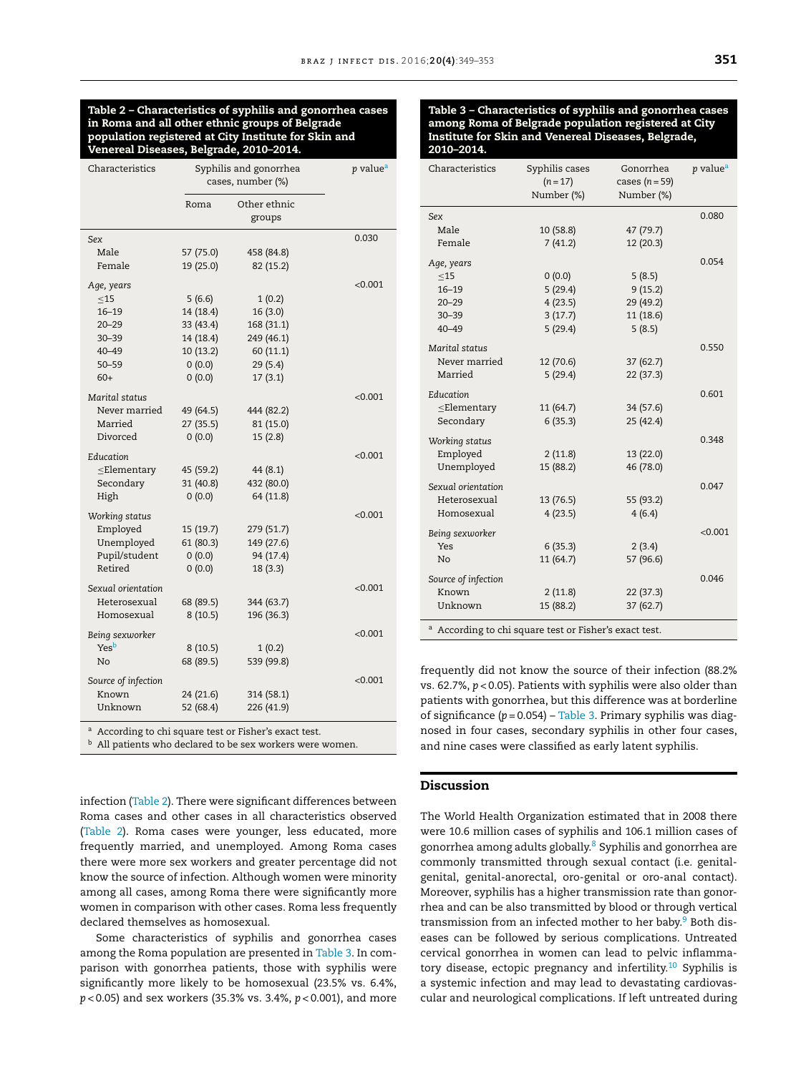### Table 2 – Characteristics of syphilis and gonorrhea cases in Roma and all other ethnic groups of Belgrade population registered at City Institute for Skin and Venereal Diseases, Belgrade, 2010–2014.

| Other ethnic<br>Roma<br>groups<br>0.030<br>Sex<br>Male<br>57 (75.0)<br>458 (84.8)<br>Female<br>19 (25.0)<br>82 (15.2)<br>< 0.001<br>Age, years<br>$\leq$ 15<br>5(6.6)<br>1(0.2)<br>14 (18.4)<br>16(3.0)<br>$16 - 19$<br>33 (43.4)<br>168 (31.1)<br>$20 - 29$<br>14 (18.4)<br>249 (46.1)<br>$30 - 39$<br>10 (13.2)<br>60 (11.1)<br>$40 - 49$<br>$50 - 59$<br>(0.0)<br>29(5.4)<br>$60+$<br>0(0.0)<br>17(3.1)<br>< 0.001<br>Marital status<br>Never married<br>49 (64.5)<br>444 (82.2)<br>Married<br>27(35.5)<br>81 (15.0)<br>Divorced<br>0(0.0)<br>15(2.8)<br>Education<br>< 0.001<br>$\leq$ Elementary<br>45 (59.2)<br>44 (8.1)<br>31 (40.8)<br>432 (80.0)<br>Secondary<br>High<br>64 (11.8)<br>(0.0)<br>< 0.001<br>Working status<br>Employed<br>15 (19.7)<br>279 (51.7)<br>Unemployed<br>61(80.3)<br>149 (27.6)<br>Pupil/student<br>(0.0)<br>94 (17.4)<br>Retired<br>0(0.0)<br>18 (3.3)<br>Sexual orientation<br>< 0.001<br>Heterosexual<br>68 (89.5)<br>344 (63.7)<br>196 (36.3)<br>Homosexual<br>8(10.5)<br>< 0.001<br>Being sexworker<br>Yesb<br>8(10.5)<br>1(0.2)<br>No<br>68 (89.5)<br>539 (99.8)<br>Source of infection<br>< 0.001<br>Known<br>24 (21.6)<br>314 (58.1)<br>Unknown<br>52 (68.4)<br>226 (41.9) | Characteristics | Syphilis and gonorrhea<br>cases, number (%) |  | p value <sup>a</sup> |
|---------------------------------------------------------------------------------------------------------------------------------------------------------------------------------------------------------------------------------------------------------------------------------------------------------------------------------------------------------------------------------------------------------------------------------------------------------------------------------------------------------------------------------------------------------------------------------------------------------------------------------------------------------------------------------------------------------------------------------------------------------------------------------------------------------------------------------------------------------------------------------------------------------------------------------------------------------------------------------------------------------------------------------------------------------------------------------------------------------------------------------------------------------------------------------------------------------------------|-----------------|---------------------------------------------|--|----------------------|
|                                                                                                                                                                                                                                                                                                                                                                                                                                                                                                                                                                                                                                                                                                                                                                                                                                                                                                                                                                                                                                                                                                                                                                                                                     |                 |                                             |  |                      |
|                                                                                                                                                                                                                                                                                                                                                                                                                                                                                                                                                                                                                                                                                                                                                                                                                                                                                                                                                                                                                                                                                                                                                                                                                     |                 |                                             |  |                      |
|                                                                                                                                                                                                                                                                                                                                                                                                                                                                                                                                                                                                                                                                                                                                                                                                                                                                                                                                                                                                                                                                                                                                                                                                                     |                 |                                             |  |                      |
|                                                                                                                                                                                                                                                                                                                                                                                                                                                                                                                                                                                                                                                                                                                                                                                                                                                                                                                                                                                                                                                                                                                                                                                                                     |                 |                                             |  |                      |
|                                                                                                                                                                                                                                                                                                                                                                                                                                                                                                                                                                                                                                                                                                                                                                                                                                                                                                                                                                                                                                                                                                                                                                                                                     |                 |                                             |  |                      |
|                                                                                                                                                                                                                                                                                                                                                                                                                                                                                                                                                                                                                                                                                                                                                                                                                                                                                                                                                                                                                                                                                                                                                                                                                     |                 |                                             |  |                      |
|                                                                                                                                                                                                                                                                                                                                                                                                                                                                                                                                                                                                                                                                                                                                                                                                                                                                                                                                                                                                                                                                                                                                                                                                                     |                 |                                             |  |                      |
|                                                                                                                                                                                                                                                                                                                                                                                                                                                                                                                                                                                                                                                                                                                                                                                                                                                                                                                                                                                                                                                                                                                                                                                                                     |                 |                                             |  |                      |
|                                                                                                                                                                                                                                                                                                                                                                                                                                                                                                                                                                                                                                                                                                                                                                                                                                                                                                                                                                                                                                                                                                                                                                                                                     |                 |                                             |  |                      |
|                                                                                                                                                                                                                                                                                                                                                                                                                                                                                                                                                                                                                                                                                                                                                                                                                                                                                                                                                                                                                                                                                                                                                                                                                     |                 |                                             |  |                      |
|                                                                                                                                                                                                                                                                                                                                                                                                                                                                                                                                                                                                                                                                                                                                                                                                                                                                                                                                                                                                                                                                                                                                                                                                                     |                 |                                             |  |                      |
|                                                                                                                                                                                                                                                                                                                                                                                                                                                                                                                                                                                                                                                                                                                                                                                                                                                                                                                                                                                                                                                                                                                                                                                                                     |                 |                                             |  |                      |
|                                                                                                                                                                                                                                                                                                                                                                                                                                                                                                                                                                                                                                                                                                                                                                                                                                                                                                                                                                                                                                                                                                                                                                                                                     |                 |                                             |  |                      |
|                                                                                                                                                                                                                                                                                                                                                                                                                                                                                                                                                                                                                                                                                                                                                                                                                                                                                                                                                                                                                                                                                                                                                                                                                     |                 |                                             |  |                      |
|                                                                                                                                                                                                                                                                                                                                                                                                                                                                                                                                                                                                                                                                                                                                                                                                                                                                                                                                                                                                                                                                                                                                                                                                                     |                 |                                             |  |                      |
|                                                                                                                                                                                                                                                                                                                                                                                                                                                                                                                                                                                                                                                                                                                                                                                                                                                                                                                                                                                                                                                                                                                                                                                                                     |                 |                                             |  |                      |
|                                                                                                                                                                                                                                                                                                                                                                                                                                                                                                                                                                                                                                                                                                                                                                                                                                                                                                                                                                                                                                                                                                                                                                                                                     |                 |                                             |  |                      |
|                                                                                                                                                                                                                                                                                                                                                                                                                                                                                                                                                                                                                                                                                                                                                                                                                                                                                                                                                                                                                                                                                                                                                                                                                     |                 |                                             |  |                      |
|                                                                                                                                                                                                                                                                                                                                                                                                                                                                                                                                                                                                                                                                                                                                                                                                                                                                                                                                                                                                                                                                                                                                                                                                                     |                 |                                             |  |                      |
|                                                                                                                                                                                                                                                                                                                                                                                                                                                                                                                                                                                                                                                                                                                                                                                                                                                                                                                                                                                                                                                                                                                                                                                                                     |                 |                                             |  |                      |
|                                                                                                                                                                                                                                                                                                                                                                                                                                                                                                                                                                                                                                                                                                                                                                                                                                                                                                                                                                                                                                                                                                                                                                                                                     |                 |                                             |  |                      |
|                                                                                                                                                                                                                                                                                                                                                                                                                                                                                                                                                                                                                                                                                                                                                                                                                                                                                                                                                                                                                                                                                                                                                                                                                     |                 |                                             |  |                      |
|                                                                                                                                                                                                                                                                                                                                                                                                                                                                                                                                                                                                                                                                                                                                                                                                                                                                                                                                                                                                                                                                                                                                                                                                                     |                 |                                             |  |                      |
|                                                                                                                                                                                                                                                                                                                                                                                                                                                                                                                                                                                                                                                                                                                                                                                                                                                                                                                                                                                                                                                                                                                                                                                                                     |                 |                                             |  |                      |
|                                                                                                                                                                                                                                                                                                                                                                                                                                                                                                                                                                                                                                                                                                                                                                                                                                                                                                                                                                                                                                                                                                                                                                                                                     |                 |                                             |  |                      |
|                                                                                                                                                                                                                                                                                                                                                                                                                                                                                                                                                                                                                                                                                                                                                                                                                                                                                                                                                                                                                                                                                                                                                                                                                     |                 |                                             |  |                      |
|                                                                                                                                                                                                                                                                                                                                                                                                                                                                                                                                                                                                                                                                                                                                                                                                                                                                                                                                                                                                                                                                                                                                                                                                                     |                 |                                             |  |                      |
|                                                                                                                                                                                                                                                                                                                                                                                                                                                                                                                                                                                                                                                                                                                                                                                                                                                                                                                                                                                                                                                                                                                                                                                                                     |                 |                                             |  |                      |
|                                                                                                                                                                                                                                                                                                                                                                                                                                                                                                                                                                                                                                                                                                                                                                                                                                                                                                                                                                                                                                                                                                                                                                                                                     |                 |                                             |  |                      |
|                                                                                                                                                                                                                                                                                                                                                                                                                                                                                                                                                                                                                                                                                                                                                                                                                                                                                                                                                                                                                                                                                                                                                                                                                     |                 |                                             |  |                      |
|                                                                                                                                                                                                                                                                                                                                                                                                                                                                                                                                                                                                                                                                                                                                                                                                                                                                                                                                                                                                                                                                                                                                                                                                                     |                 |                                             |  |                      |
|                                                                                                                                                                                                                                                                                                                                                                                                                                                                                                                                                                                                                                                                                                                                                                                                                                                                                                                                                                                                                                                                                                                                                                                                                     |                 |                                             |  |                      |
|                                                                                                                                                                                                                                                                                                                                                                                                                                                                                                                                                                                                                                                                                                                                                                                                                                                                                                                                                                                                                                                                                                                                                                                                                     |                 |                                             |  |                      |
|                                                                                                                                                                                                                                                                                                                                                                                                                                                                                                                                                                                                                                                                                                                                                                                                                                                                                                                                                                                                                                                                                                                                                                                                                     |                 |                                             |  |                      |
|                                                                                                                                                                                                                                                                                                                                                                                                                                                                                                                                                                                                                                                                                                                                                                                                                                                                                                                                                                                                                                                                                                                                                                                                                     |                 |                                             |  |                      |

a According to chi square test or Fisher's exact test.

 $<sup>b</sup>$  All patients who declared to be sex workers were women.</sup>

infection (Table 2). There were significant differences between Roma cases and other cases in all characteristics observed (Table 2). Roma cases were younger, less educated, more frequently married, and unemployed. Among Roma cases there were more sex workers and greater percentage did not know the source of infection. Although women were minority among all cases, among Roma there were significantly more women in comparison with other cases. Roma less frequently declared themselves as homosexual.

Some characteristics of syphilis and gonorrhea cases among the Roma population are presented in Table 3. In comparison with gonorrhea patients, those with syphilis were significantly more likely to be homosexual (23.5% vs. 6.4%, *p* < 0.05) and sex workers (35.3% vs. 3.4%, *p* < 0.001), and more

| Characteristics                                                   | Syphilis cases<br>$(n = 17)$<br>Number (%) | Gonorrhea<br>cases $(n=59)$<br>Number (%) | $p$ value <sup>a</sup> |  |  |  |
|-------------------------------------------------------------------|--------------------------------------------|-------------------------------------------|------------------------|--|--|--|
| Sex                                                               |                                            |                                           | 0.080                  |  |  |  |
| Male                                                              | 10 (58.8)                                  | 47 (79.7)                                 |                        |  |  |  |
| Female                                                            | 7(41.2)                                    | 12 (20.3)                                 |                        |  |  |  |
| Age, years                                                        |                                            |                                           | 0.054                  |  |  |  |
| <15                                                               | (0.0)                                      | 5(8.5)                                    |                        |  |  |  |
| $16 - 19$                                                         | 5(29.4)                                    | 9(15.2)                                   |                        |  |  |  |
| $20 - 29$                                                         | 4(23.5)                                    | 29 (49.2)                                 |                        |  |  |  |
| $30 - 39$                                                         | 3(17.7)                                    | 11 (18.6)                                 |                        |  |  |  |
| $40 - 49$                                                         | 5(29.4)                                    | 5(8.5)                                    |                        |  |  |  |
| Marital status                                                    |                                            |                                           | 0.550                  |  |  |  |
| Never married                                                     | 12 (70.6)                                  | 37(62.7)                                  |                        |  |  |  |
| Married                                                           | 5(29.4)                                    | 22(37.3)                                  |                        |  |  |  |
| Education                                                         |                                            |                                           | 0.601                  |  |  |  |
| $\leq$ Elementary                                                 | 11(64.7)                                   | 34 (57.6)                                 |                        |  |  |  |
| Secondary                                                         | 6(35.3)                                    | 25 (42.4)                                 |                        |  |  |  |
| Working status                                                    |                                            |                                           | 0.348                  |  |  |  |
| Employed                                                          | 2(11.8)                                    | 13 (22.0)                                 |                        |  |  |  |
| Unemployed                                                        | 15 (88.2)                                  | 46 (78.0)                                 |                        |  |  |  |
| Sexual orientation                                                |                                            |                                           | 0.047                  |  |  |  |
| Heterosexual                                                      | 13 (76.5)                                  | 55 (93.2)                                 |                        |  |  |  |
| Homosexual                                                        | 4(23.5)                                    | 4(6.4)                                    |                        |  |  |  |
| Being sexworker                                                   |                                            |                                           | < 0.001                |  |  |  |
| Yes                                                               | 6(35.3)                                    | 2(3.4)                                    |                        |  |  |  |
| N <sub>o</sub>                                                    | 11 (64.7)                                  | 57 (96.6)                                 |                        |  |  |  |
| Source of infection                                               |                                            |                                           | 0.046                  |  |  |  |
| Known                                                             | 2(11.8)                                    | 22(37.3)                                  |                        |  |  |  |
| Unknown                                                           | 15 (88.2)                                  | 37 (62.7)                                 |                        |  |  |  |
| <sup>a</sup> According to chi square test or Fisher's exact test. |                                            |                                           |                        |  |  |  |
|                                                                   |                                            |                                           |                        |  |  |  |

frequently did not know the source of their infection (88.2% vs. 62.7%, *p* < 0.05). Patients with syphilis were also older than patients with gonorrhea, but this difference was at borderline of significance (*p* = 0.054) – Table 3. Primary syphilis was diagnosed in four cases, secondary syphilis in other four cases, and nine cases were classified as early latent syphilis.

# Discussion

The World Health Organization estimated that in 2008 there were 10.6 million cases of syphilis and 106.1 million cases of gonorrhea among adults globally.<sup>[8](#page-4-0)</sup> Syphilis and gonorrhea are commonly transmitted through sexual contact (i.e. genitalgenital, genital-anorectal, oro-genital or oro-anal contact). Moreover, syphilis has a higher transmission rate than gonorrhea and can be also transmitted by blood or through vertical transmission from an infected mother to her baby. $9$  [B](#page-4-0)oth diseases can be followed by serious complications. Untreated cervical gonorrhea in women can lead to pelvic inflamma-tory disease, ectopic pregnancy and infertility.<sup>[10](#page-4-0)</sup> Syphilis is a systemic infection and may lead to devastating cardiovascular and neurological complications. If left untreated during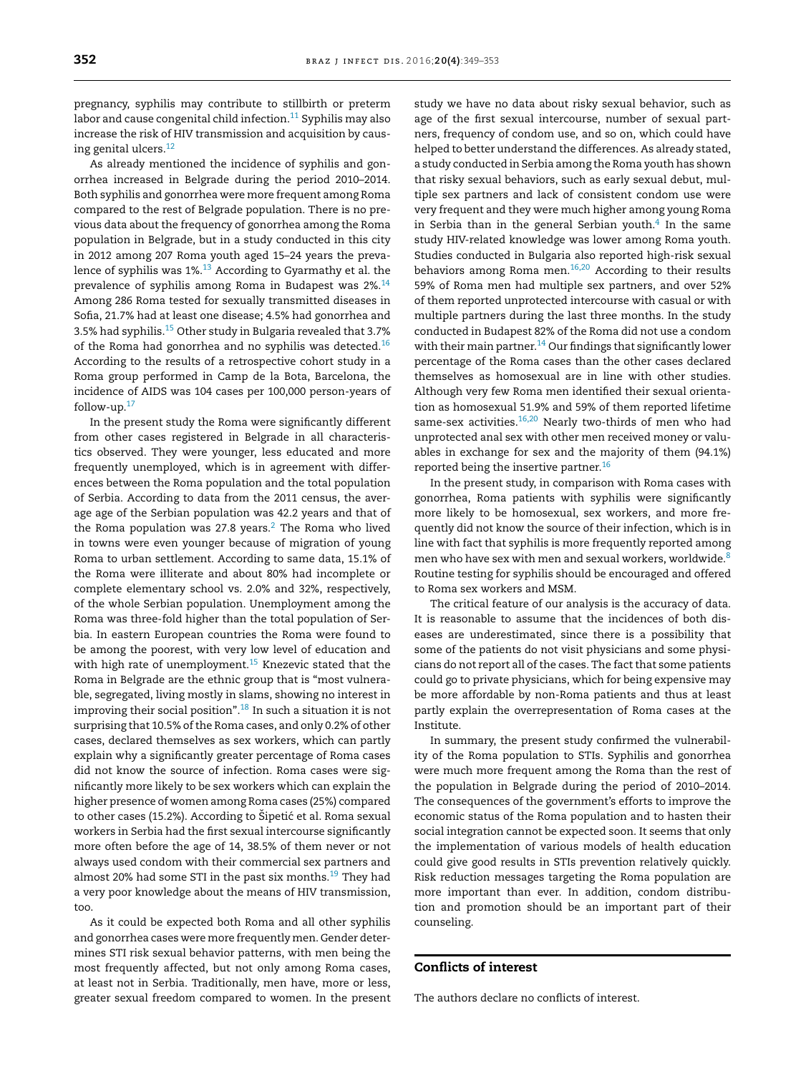pregnancy, syphilis may contribute to stillbirth or preterm labor and cause congenital child infection. $11$  Syphilis may also increase the risk of HIV transmission and acquisition by causing genital ulcers.[12](#page-4-0)

As already mentioned the incidence of syphilis and gonorrhea increased in Belgrade during the period 2010–2014. Both syphilis and gonorrhea were more frequent among Roma compared to the rest of Belgrade population. There is no previous data about the frequency of gonorrhea among the Roma population in Belgrade, but in a study conducted in this city in 2012 among 207 Roma youth aged 15–24 years the preva-lence of syphilis was 1%.<sup>[13](#page-4-0)</sup> According to Gyarmathy et al. the prevalence of syphilis among Roma in Budapest was 2%.[14](#page-4-0) Among 286 Roma tested for sexually transmitted diseases in Sofia, 21.7% had at least one disease; 4.5% had gonorrhea and 3.5% had syphilis.[15](#page-4-0) Other study in Bulgaria revealed that 3.7% of the Roma had gonorrhea and no syphilis was detected.<sup>[16](#page-4-0)</sup> According to the results of a retrospective cohort study in a Roma group performed in Camp de la Bota, Barcelona, the incidence of AIDS was 104 cases per 100,000 person-years of follow-up.[17](#page-4-0)

In the present study the Roma were significantly different from other cases registered in Belgrade in all characteristics observed. They were younger, less educated and more frequently unemployed, which is in agreement with differences between the Roma population and the total population of Serbia. According to data from the 2011 census, the average age of the Serbian population was 42.2 years and that of the Roma population was [2](#page-4-0)7.8 years. $2$  The Roma who lived in towns were even younger because of migration of young Roma to urban settlement. According to same data, 15.1% of the Roma were illiterate and about 80% had incomplete or complete elementary school vs. 2.0% and 32%, respectively, of the whole Serbian population. Unemployment among the Roma was three-fold higher than the total population of Serbia. In eastern European countries the Roma were found to be among the poorest, with very low level of education and with high rate of unemployment.<sup>[15](#page-4-0)</sup> Knezevic stated that the Roma in Belgrade are the ethnic group that is "most vulnerable, segregated, living mostly in slams, showing no interest in improving their social position". $18$  In such a situation it is not surprising that 10.5% of the Roma cases, and only 0.2% of other cases, declared themselves as sex workers, which can partly explain why a significantly greater percentage of Roma cases did not know the source of infection. Roma cases were significantly more likely to be sex workers which can explain the higher presence of women among Roma cases (25%) compared to other cases (15.2%). According to Šipetić et al. Roma sexual workers in Serbia had the first sexual intercourse significantly more often before the age of 14, 38.5% of them never or not always used condom with their commercial sex partners and almost 20% had some STI in the past six months.<sup>[19](#page-4-0)</sup> They had a very poor knowledge about the means of HIV transmission, too.

As it could be expected both Roma and all other syphilis and gonorrhea cases were more frequently men. Gender determines STI risk sexual behavior patterns, with men being the most frequently affected, but not only among Roma cases, at least not in Serbia. Traditionally, men have, more or less, greater sexual freedom compared to women. In the present study we have no data about risky sexual behavior, such as age of the first sexual intercourse, number of sexual partners, frequency of condom use, and so on, which could have helped to better understand the differences. As already stated, a study conducted in Serbia among the Roma youth has shown that risky sexual behaviors, such as early sexual debut, multiple sex partners and lack of consistent condom use were very frequent and they were much higher among young Roma in Serbia than in the general Serbian youth.<sup>[4](#page-4-0)</sup> In the same study HIV-related knowledge was lower among Roma youth. Studies conducted in Bulgaria also reported high-risk sexual behaviors among Roma men. $16,20$  According to their results 59% of Roma men had multiple sex partners, and over 52% of them reported unprotected intercourse with casual or with multiple partners during the last three months. In the study conducted in Budapest 82% of the Roma did not use a condom with their main partner.<sup>[14](#page-4-0)</sup> Our findings that significantly lower percentage of the Roma cases than the other cases declared themselves as homosexual are in line with other studies. Although very few Roma men identified their sexual orientation as homosexual 51.9% and 59% of them reported lifetime same-sex activities.[16,20](#page-4-0) Nearly two-thirds of men who had unprotected anal sex with other men received money or valuables in exchange for sex and the majority of them (94.1%) reported being the insertive partner.<sup>[16](#page-4-0)</sup>

In the present study, in comparison with Roma cases with gonorrhea, Roma patients with syphilis were significantly more likely to be homosexual, sex workers, and more frequently did not know the source of their infection, which is in line with fact that syphilis is more frequently reported among men who have sex with men and sexual workers, worldwide.[8](#page-4-0) Routine testing for syphilis should be encouraged and offered to Roma sex workers and MSM.

The critical feature of our analysis is the accuracy of data. It is reasonable to assume that the incidences of both diseases are underestimated, since there is a possibility that some of the patients do not visit physicians and some physicians do not report all of the cases. The fact that some patients could go to private physicians, which for being expensive may be more affordable by non-Roma patients and thus at least partly explain the overrepresentation of Roma cases at the Institute.

In summary, the present study confirmed the vulnerability of the Roma population to STIs. Syphilis and gonorrhea were much more frequent among the Roma than the rest of the population in Belgrade during the period of 2010–2014. The consequences of the government's efforts to improve the economic status of the Roma population and to hasten their social integration cannot be expected soon. It seems that only the implementation of various models of health education could give good results in STIs prevention relatively quickly. Risk reduction messages targeting the Roma population are more important than ever. In addition, condom distribution and promotion should be an important part of their counseling.

# Conflicts of interest

The authors declare no conflicts of interest.